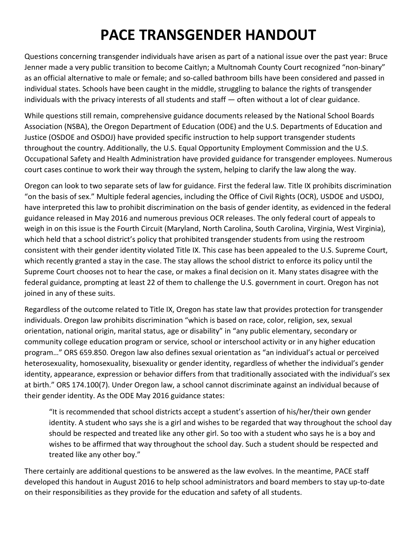# **PACE TRANSGENDER HANDOUT**

Questions concerning transgender individuals have arisen as part of a national issue over the past year: Bruce Jenner made a very public transition to become Caitlyn; a Multnomah County Court recognized "non-binary" as an official alternative to male or female; and so-called bathroom bills have been considered and passed in individual states. Schools have been caught in the middle, struggling to balance the rights of transgender individuals with the privacy interests of all students and staff — often without a lot of clear guidance.

While questions still remain, comprehensive guidance documents released by the National School Boards Association (NSBA), the Oregon Department of Education (ODE) and the U.S. Departments of Education and Justice (OSDOE and OSDOJ) have provided specific instruction to help support transgender students throughout the country. Additionally, the U.S. Equal Opportunity Employment Commission and the U.S. Occupational Safety and Health Administration have provided guidance for transgender employees. Numerous court cases continue to work their way through the system, helping to clarify the law along the way.

Oregon can look to two separate sets of law for guidance. First the federal law. Title IX prohibits discrimination "on the basis of sex." Multiple federal agencies, including the Office of Civil Rights (OCR), USDOE and USDOJ, have interpreted this law to prohibit discrimination on the basis of gender identity, as evidenced in the federal guidance released in May 2016 and numerous previous OCR releases. The only federal court of appeals to weigh in on this issue is the Fourth Circuit (Maryland, North Carolina, South Carolina, Virginia, West Virginia), which held that a school district's policy that prohibited transgender students from using the restroom consistent with their gender identity violated Title IX. This case has been appealed to the U.S. Supreme Court, which recently granted a stay in the case. The stay allows the school district to enforce its policy until the Supreme Court chooses not to hear the case, or makes a final decision on it. Many states disagree with the federal guidance, prompting at least 22 of them to challenge the U.S. government in court. Oregon has not joined in any of these suits.

Regardless of the outcome related to Title IX, Oregon has state law that provides protection for transgender individuals. Oregon law prohibits discrimination "which is based on race, color, religion, sex, sexual orientation, national origin, marital status, age or disability" in "any public elementary, secondary or community college education program or service, school or interschool activity or in any higher education program…" ORS 659.850. Oregon law also defines sexual orientation as "an individual's actual or perceived heterosexuality, homosexuality, bisexuality or gender identity, regardless of whether the individual's gender identity, appearance, expression or behavior differs from that traditionally associated with the individual's sex at birth." ORS 174.100(7). Under Oregon law, a school cannot discriminate against an individual because of their gender identity. As the ODE May 2016 guidance states:

"It is recommended that school districts accept a student's assertion of his/her/their own gender identity. A student who says she is a girl and wishes to be regarded that way throughout the school day should be respected and treated like any other girl. So too with a student who says he is a boy and wishes to be affirmed that way throughout the school day. Such a student should be respected and treated like any other boy."

There certainly are additional questions to be answered as the law evolves. In the meantime, PACE staff developed this handout in August 2016 to help school administrators and board members to stay up-to-date on their responsibilities as they provide for the education and safety of all students.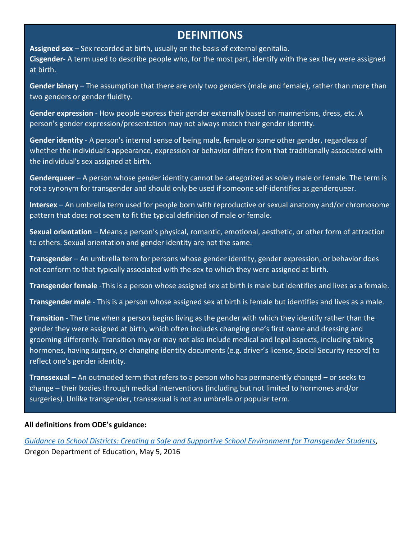### **DEFINITIONS**

**Assigned sex** – Sex recorded at birth, usually on the basis of external genitalia. **Cisgender**- A term used to describe people who, for the most part, identify with the sex they were assigned at birth.

**Gender binary** – The assumption that there are only two genders (male and female), rather than more than two genders or gender fluidity.

**Gender expression** - How people express their gender externally based on mannerisms, dress, etc. A person's gender expression/presentation may not always match their gender identity.

**Gender identity** - A person's internal sense of being male, female or some other gender, regardless of whether the individual's appearance, expression or behavior differs from that traditionally associated with the individual's sex assigned at birth.

**Genderqueer** – A person whose gender identity cannot be categorized as solely male or female. The term is not a synonym for transgender and should only be used if someone self-identifies as genderqueer.

**Intersex** – An umbrella term used for people born with reproductive or sexual anatomy and/or chromosome pattern that does not seem to fit the typical definition of male or female.

**Sexual orientation** – Means a person's physical, romantic, emotional, aesthetic, or other form of attraction to others. Sexual orientation and gender identity are not the same.

**Transgender** – An umbrella term for persons whose gender identity, gender expression, or behavior does not conform to that typically associated with the sex to which they were assigned at birth.

**Transgender female** -This is a person whose assigned sex at birth is male but identifies and lives as a female.

**Transgender male** - This is a person whose assigned sex at birth is female but identifies and lives as a male.

**Transition** - The time when a person begins living as the gender with which they identify rather than the gender they were assigned at birth, which often includes changing one's first name and dressing and grooming differently. Transition may or may not also include medical and legal aspects, including taking hormones, having surgery, or changing identity documents (e.g. driver's license, Social Security record) to reflect one's gender identity.

**Transsexual** – An outmoded term that refers to a person who has permanently changed – or seeks to change – their bodies through medical interventions (including but not limited to hormones and/or surgeries). Unlike transgender, transsexual is not an umbrella or popular term.

#### **All definitions from ODE's guidance:**

*[Guidance to School Districts: Creating a Safe and Supportive School Environment for Transgender Students](http://www.ode.state.or.us/groups/supportstaff/hklb/schoolnurses/transgenderstudentguidance.pdf)*, Oregon Department of Education, May 5, 2016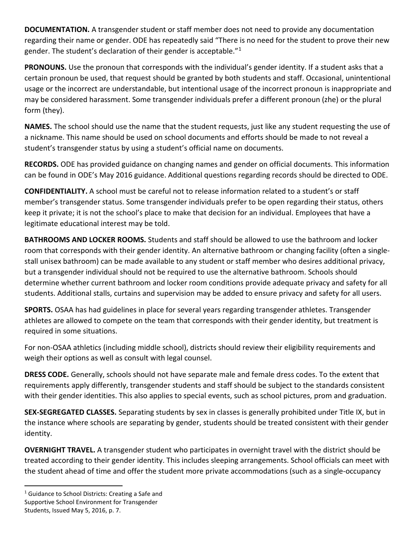**DOCUMENTATION.** A transgender student or staff member does not need to provide any documentation regarding their name or gender. ODE has repeatedly said "There is no need for the student to prove their new gender. The student's declaration of their gender is acceptable.["1](#page-2-0)

PRONOUNS. Use the pronoun that corresponds with the individual's gender identity. If a student asks that a certain pronoun be used, that request should be granted by both students and staff. Occasional, unintentional usage or the incorrect are understandable, but intentional usage of the incorrect pronoun is inappropriate and may be considered harassment. Some transgender individuals prefer a different pronoun (zhe) or the plural form (they).

**NAMES.** The school should use the name that the student requests, just like any student requesting the use of a nickname. This name should be used on school documents and efforts should be made to not reveal a student's transgender status by using a student's official name on documents.

**RECORDS.** ODE has provided guidance on changing names and gender on official documents. This information can be found in ODE's May 2016 guidance. Additional questions regarding records should be directed to ODE.

**CONFIDENTIALITY.** A school must be careful not to release information related to a student's or staff member's transgender status. Some transgender individuals prefer to be open regarding their status, others keep it private; it is not the school's place to make that decision for an individual. Employees that have a legitimate educational interest may be told.

**BATHROOMS AND LOCKER ROOMS.** Students and staff should be allowed to use the bathroom and locker room that corresponds with their gender identity. An alternative bathroom or changing facility (often a singlestall unisex bathroom) can be made available to any student or staff member who desires additional privacy, but a transgender individual should not be required to use the alternative bathroom. Schools should determine whether current bathroom and locker room conditions provide adequate privacy and safety for all students. Additional stalls, curtains and supervision may be added to ensure privacy and safety for all users.

**SPORTS.** OSAA has had guidelines in place for several years regarding transgender athletes. Transgender athletes are allowed to compete on the team that corresponds with their gender identity, but treatment is required in some situations.

For non-OSAA athletics (including middle school), districts should review their eligibility requirements and weigh their options as well as consult with legal counsel.

**DRESS CODE.** Generally, schools should not have separate male and female dress codes. To the extent that requirements apply differently, transgender students and staff should be subject to the standards consistent with their gender identities. This also applies to special events, such as school pictures, prom and graduation.

**SEX-SEGREGATED CLASSES.** Separating students by sex in classes is generally prohibited under Title IX, but in the instance where schools are separating by gender, students should be treated consistent with their gender identity.

**OVERNIGHT TRAVEL.** A transgender student who participates in overnight travel with the district should be treated according to their gender identity. This includes sleeping arrangements. School officials can meet with the student ahead of time and offer the student more private accommodations (such as a single-occupancy

l

<span id="page-2-0"></span> $1$  Guidance to School Districts: Creating a Safe and Supportive School Environment for Transgender Students, Issued May 5, 2016, p. 7.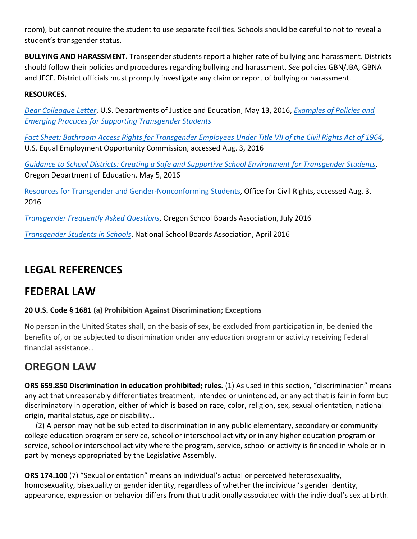room), but cannot require the student to use separate facilities. Schools should be careful to not to reveal a student's transgender status.

**BULLYING AND HARASSMENT.** Transgender students report a higher rate of bullying and harassment. Districts should follow their policies and procedures regarding bullying and harassment. *See* policies GBN/JBA, GBNA and JFCF. District officials must promptly investigate any claim or report of bullying or harassment.

#### **RESOURCES.**

*[Dear Colleague Letter](http://www2.ed.gov/about/offices/list/ocr/letters/colleague-201605-title-ix-transgender.pdf)*, U.S. Departments of Justice and Education, May 13, 2016, *[Examples of Policies and](http://www2.ed.gov/about/offices/list/oese/oshs/emergingpractices.pdf)  [Emerging Practices for Supporting Transgender Students](http://www2.ed.gov/about/offices/list/oese/oshs/emergingpractices.pdf)*

*[Fact Sheet: Bathroom Access Rights for Transgender Employees Under Title VII of the Civil Rights Act of 1964](https://ihr.osba.org/Time/InOutBoard.aspxhttps:/www.eeoc.gov/eeoc/publications/fs-bathroom-access-transgender.cfm)*, U.S. Equal Employment Opportunity Commission, accessed Aug. 3, 2016

*[Guidance to School Districts: Creating a Safe and Supportive School Environment for Transgender Students](http://www.ode.state.or.us/groups/supportstaff/hklb/schoolnurses/transgenderstudentguidance.pdf)*, Oregon Department of Education, May 5, 2016

[Resources for Transgender and Gender-Nonconforming Students,](http://www2.ed.gov/about/offices/list/ocr/lgbt.html) Office for Civil Rights, accessed Aug. 3, 2016

*[Transgender Frequently Asked Questions](http://www.osba.org/%7E/media/Files/Event%20Materials/SBC/2016/Materials/Sunday/Transgender%20FAQ%20SB16.pdf)*, Oregon School Boards Association, July 2016

*[Transgender Students in Schools](https://cdn-files.nsba.org/s3fs-public/reports/10711-4559_Transgender_Guide_V4_Final.pdf?k0D1_qrOLUuKggFz5r9XTUyboF_vct5F)*, National School Boards Association, April 2016

### **LEGAL REFERENCES**

### **FEDERAL LAW**

#### **20 U.S. Code § 1681 (a) Prohibition Against Discrimination; Exceptions**

No person in the United States shall, on the basis of sex, be excluded from participation in, be denied the benefits of, or be subjected to discrimination under any education program or activity receiving Federal financial assistance…

### **OREGON LAW**

**ORS 659.850 Discrimination in education prohibited; rules.** (1) As used in this section, "discrimination" means any act that unreasonably differentiates treatment, intended or unintended, or any act that is fair in form but discriminatory in operation, either of which is based on race, color, religion, sex, sexual orientation, national origin, marital status, age or disability…

 (2) A person may not be subjected to discrimination in any public elementary, secondary or community college education program or service, school or interschool activity or in any higher education program or service, school or interschool activity where the program, service, school or activity is financed in whole or in part by moneys appropriated by the Legislative Assembly.

**ORS 174.100** (7) "Sexual orientation" means an individual's actual or perceived heterosexuality, homosexuality, bisexuality or gender identity, regardless of whether the individual's gender identity, appearance, expression or behavior differs from that traditionally associated with the individual's sex at birth.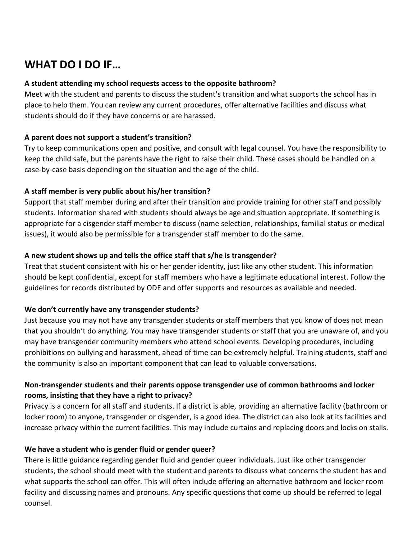## **WHAT DO I DO IF…**

#### **A student attending my school requests access to the opposite bathroom?**

Meet with the student and parents to discuss the student's transition and what supports the school has in place to help them. You can review any current procedures, offer alternative facilities and discuss what students should do if they have concerns or are harassed.

#### **A parent does not support a student's transition?**

Try to keep communications open and positive, and consult with legal counsel. You have the responsibility to keep the child safe, but the parents have the right to raise their child. These cases should be handled on a case-by-case basis depending on the situation and the age of the child.

#### **A staff member is very public about his/her transition?**

Support that staff member during and after their transition and provide training for other staff and possibly students. Information shared with students should always be age and situation appropriate. If something is appropriate for a cisgender staff member to discuss (name selection, relationships, familial status or medical issues), it would also be permissible for a transgender staff member to do the same.

#### **A new student shows up and tells the office staff that s/he is transgender?**

Treat that student consistent with his or her gender identity, just like any other student. This information should be kept confidential, except for staff members who have a legitimate educational interest. Follow the guidelines for records distributed by ODE and offer supports and resources as available and needed.

#### **We don't currently have any transgender students?**

Just because you may not have any transgender students or staff members that you know of does not mean that you shouldn't do anything. You may have transgender students or staff that you are unaware of, and you may have transgender community members who attend school events. Developing procedures, including prohibitions on bullying and harassment, ahead of time can be extremely helpful. Training students, staff and the community is also an important component that can lead to valuable conversations.

#### **Non-transgender students and their parents oppose transgender use of common bathrooms and locker rooms, insisting that they have a right to privacy?**

Privacy is a concern for all staff and students. If a district is able, providing an alternative facility (bathroom or locker room) to anyone, transgender or cisgender, is a good idea. The district can also look at its facilities and increase privacy within the current facilities. This may include curtains and replacing doors and locks on stalls.

#### **We have a student who is gender fluid or gender queer?**

There is little guidance regarding gender fluid and gender queer individuals. Just like other transgender students, the school should meet with the student and parents to discuss what concerns the student has and what supports the school can offer. This will often include offering an alternative bathroom and locker room facility and discussing names and pronouns. Any specific questions that come up should be referred to legal counsel.